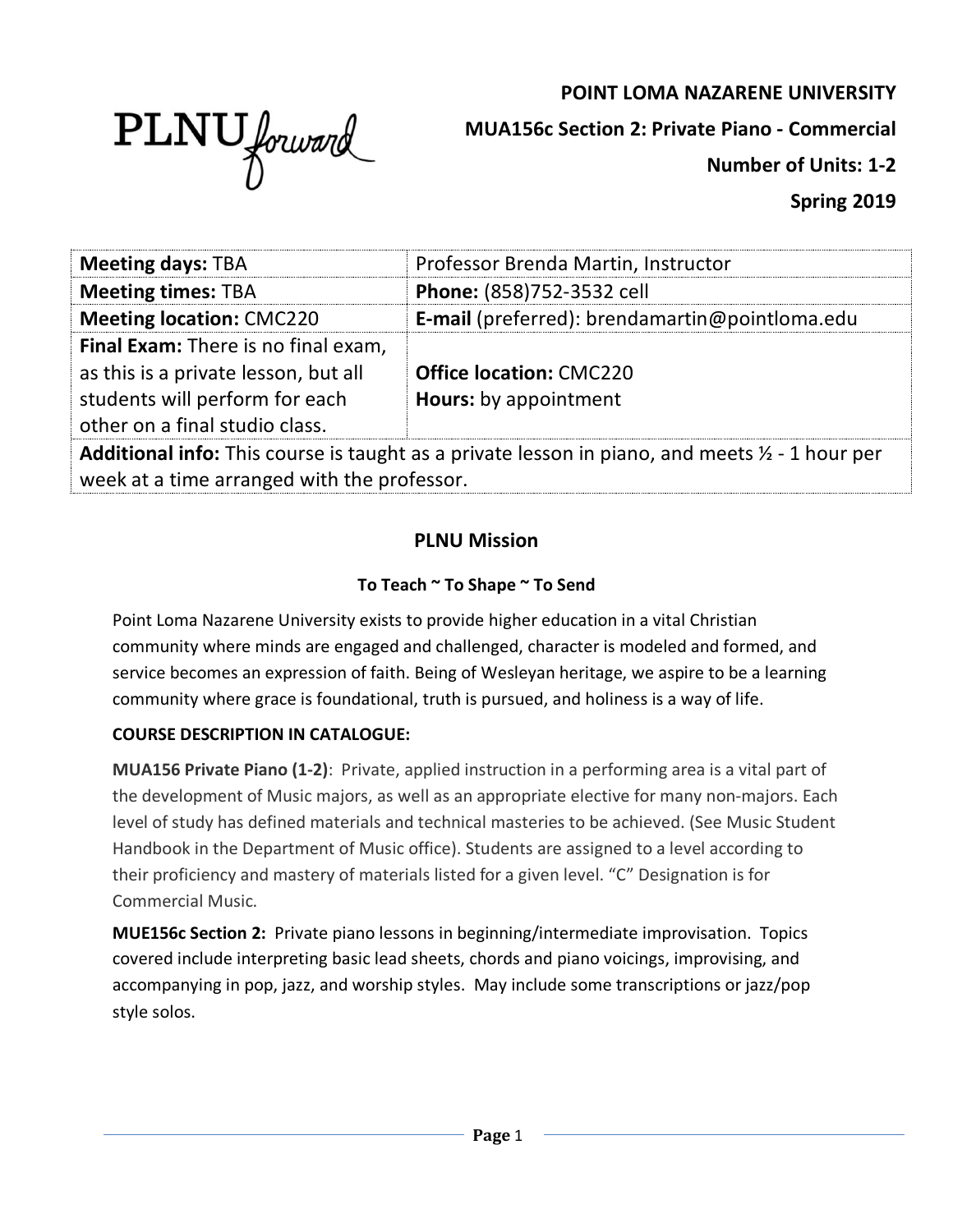# **POINT LOMA NAZARENE UNIVERSITY**



**MUA156c Section 2: Private Piano - Commercial**

**Number of Units: 1-2**

**Spring 2019**

| <b>Meeting days: TBA</b>                                                                                         | Professor Brenda Martin, Instructor            |  |
|------------------------------------------------------------------------------------------------------------------|------------------------------------------------|--|
| <b>Meeting times: TBA</b>                                                                                        | Phone: (858)752-3532 cell                      |  |
| <b>Meeting location: CMC220</b>                                                                                  | E-mail (preferred): brendamartin@pointloma.edu |  |
| Final Exam: There is no final exam,                                                                              |                                                |  |
| as this is a private lesson, but all                                                                             | <b>Office location: CMC220</b>                 |  |
| students will perform for each                                                                                   | <b>Hours:</b> by appointment                   |  |
| other on a final studio class.                                                                                   |                                                |  |
| <b>Additional info:</b> This course is taught as a private lesson in piano, and meets $\frac{1}{2}$ - 1 hour per |                                                |  |
| week at a time arranged with the professor.                                                                      |                                                |  |

# **PLNU Mission**

## **To Teach ~ To Shape ~ To Send**

Point Loma Nazarene University exists to provide higher education in a vital Christian community where minds are engaged and challenged, character is modeled and formed, and service becomes an expression of faith. Being of Wesleyan heritage, we aspire to be a learning community where grace is foundational, truth is pursued, and holiness is a way of life.

## **COURSE DESCRIPTION IN CATALOGUE:**

**MUA156 Private Piano (1-2)**: Private, applied instruction in a performing area is a vital part of the development of Music majors, as well as an appropriate elective for many non-majors. Each level of study has defined materials and technical masteries to be achieved. (See Music Student Handbook in the Department of Music office). Students are assigned to a level according to their proficiency and mastery of materials listed for a given level. "C" Designation is for Commercial Music.

**MUE156c Section 2:** Private piano lessons in beginning/intermediate improvisation. Topics covered include interpreting basic lead sheets, chords and piano voicings, improvising, and accompanying in pop, jazz, and worship styles. May include some transcriptions or jazz/pop style solos.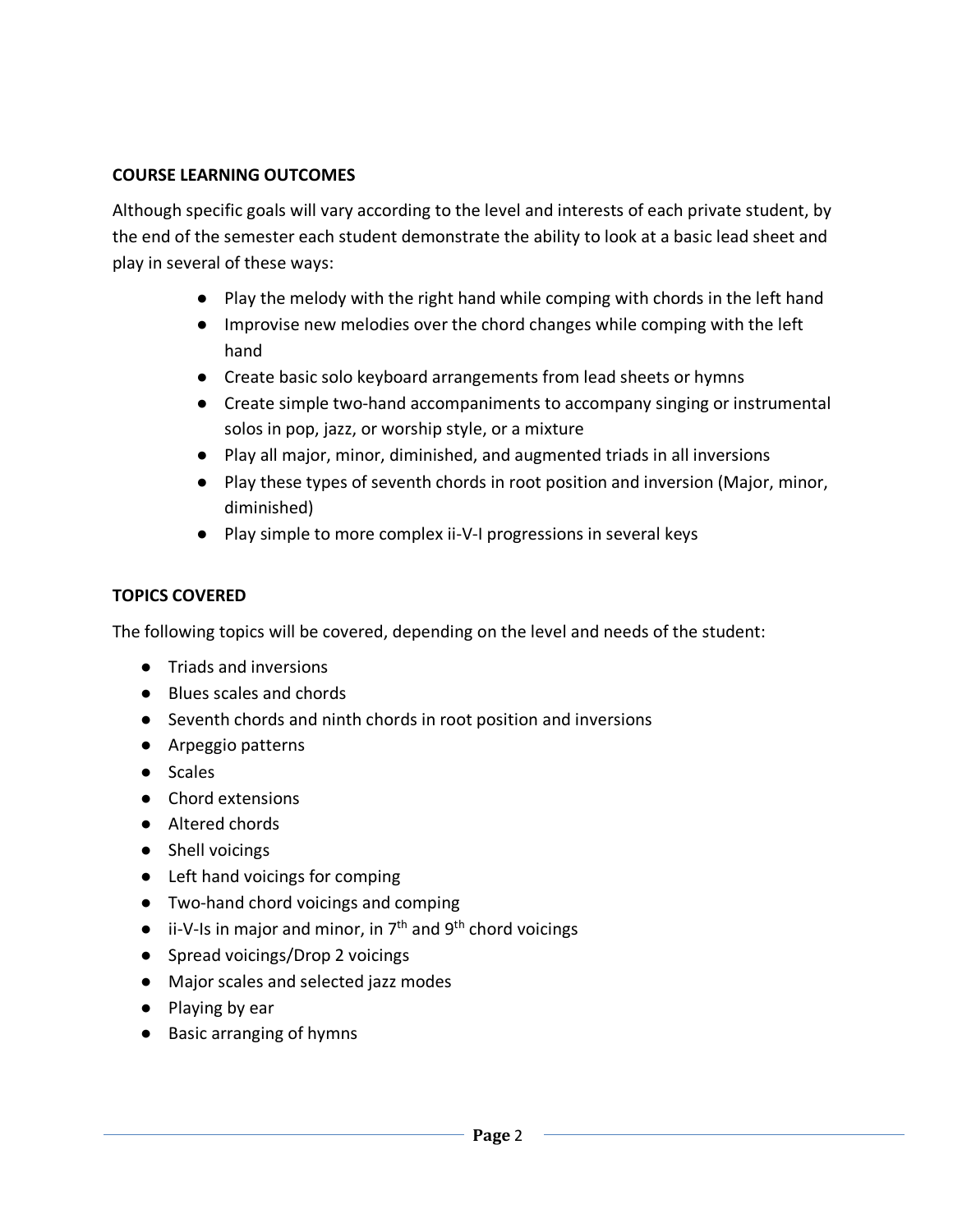### **COURSE LEARNING OUTCOMES**

Although specific goals will vary according to the level and interests of each private student, by the end of the semester each student demonstrate the ability to look at a basic lead sheet and play in several of these ways:

- Play the melody with the right hand while comping with chords in the left hand
- Improvise new melodies over the chord changes while comping with the left hand
- Create basic solo keyboard arrangements from lead sheets or hymns
- Create simple two-hand accompaniments to accompany singing or instrumental solos in pop, jazz, or worship style, or a mixture
- Play all major, minor, diminished, and augmented triads in all inversions
- Play these types of seventh chords in root position and inversion (Major, minor, diminished)
- Play simple to more complex ii-V-I progressions in several keys

## **TOPICS COVERED**

The following topics will be covered, depending on the level and needs of the student:

- Triads and inversions
- Blues scales and chords
- Seventh chords and ninth chords in root position and inversions
- Arpeggio patterns
- Scales
- Chord extensions
- Altered chords
- Shell voicings
- Left hand voicings for comping
- Two-hand chord voicings and comping
- $\bullet$  ii-V-Is in major and minor, in  $7<sup>th</sup>$  and  $9<sup>th</sup>$  chord voicings
- Spread voicings/Drop 2 voicings
- Major scales and selected jazz modes
- Playing by ear
- Basic arranging of hymns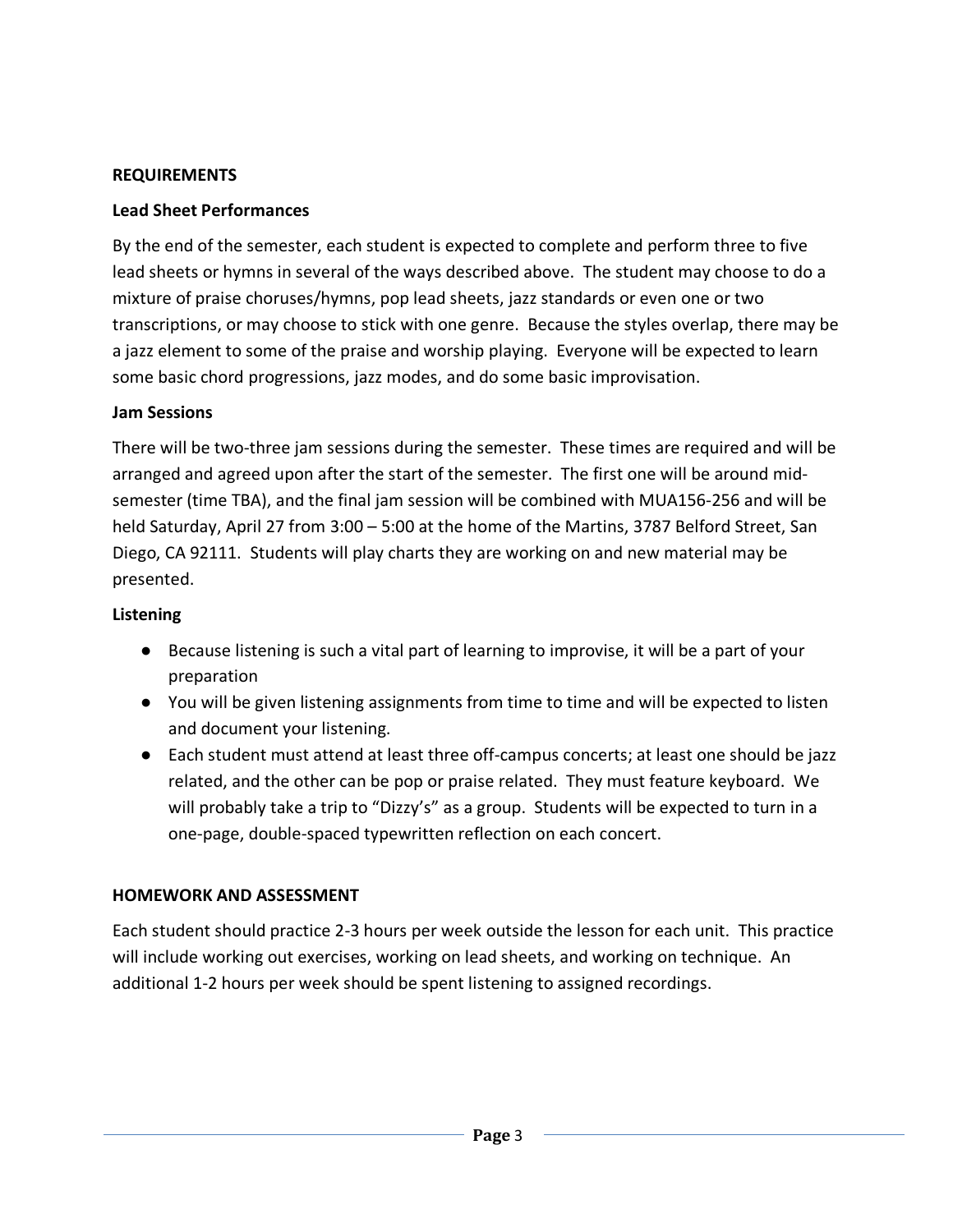### **REQUIREMENTS**

### **Lead Sheet Performances**

By the end of the semester, each student is expected to complete and perform three to five lead sheets or hymns in several of the ways described above. The student may choose to do a mixture of praise choruses/hymns, pop lead sheets, jazz standards or even one or two transcriptions, or may choose to stick with one genre. Because the styles overlap, there may be a jazz element to some of the praise and worship playing. Everyone will be expected to learn some basic chord progressions, jazz modes, and do some basic improvisation.

### **Jam Sessions**

There will be two-three jam sessions during the semester. These times are required and will be arranged and agreed upon after the start of the semester. The first one will be around midsemester (time TBA), and the final jam session will be combined with MUA156-256 and will be held Saturday, April 27 from 3:00 – 5:00 at the home of the Martins, 3787 Belford Street, San Diego, CA 92111. Students will play charts they are working on and new material may be presented.

### **Listening**

- Because listening is such a vital part of learning to improvise, it will be a part of your preparation
- You will be given listening assignments from time to time and will be expected to listen and document your listening.
- Each student must attend at least three off-campus concerts; at least one should be jazz related, and the other can be pop or praise related. They must feature keyboard. We will probably take a trip to "Dizzy's" as a group. Students will be expected to turn in a one-page, double-spaced typewritten reflection on each concert.

## **HOMEWORK AND ASSESSMENT**

Each student should practice 2-3 hours per week outside the lesson for each unit. This practice will include working out exercises, working on lead sheets, and working on technique. An additional 1-2 hours per week should be spent listening to assigned recordings.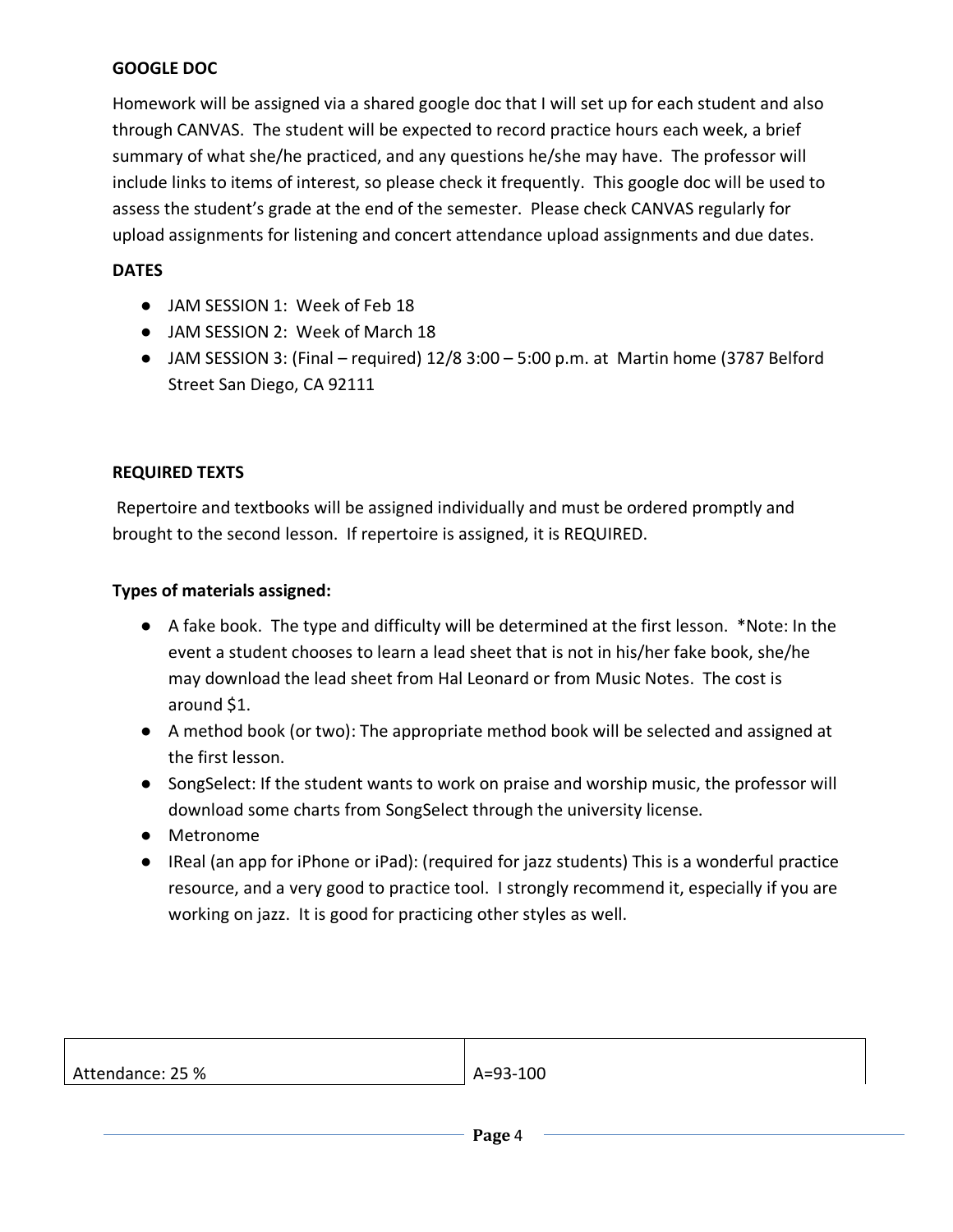### **GOOGLE DOC**

Homework will be assigned via a shared google doc that I will set up for each student and also through CANVAS. The student will be expected to record practice hours each week, a brief summary of what she/he practiced, and any questions he/she may have. The professor will include links to items of interest, so please check it frequently. This google doc will be used to assess the student's grade at the end of the semester. Please check CANVAS regularly for upload assignments for listening and concert attendance upload assignments and due dates.

#### **DATES**

- JAM SESSION 1: Week of Feb 18
- JAM SESSION 2: Week of March 18
- $\bullet$  JAM SESSION 3: (Final required) 12/8 3:00 5:00 p.m. at Martin home (3787 Belford Street San Diego, CA 92111

#### **REQUIRED TEXTS**

Repertoire and textbooks will be assigned individually and must be ordered promptly and brought to the second lesson. If repertoire is assigned, it is REQUIRED.

#### **Types of materials assigned:**

- A fake book. The type and difficulty will be determined at the first lesson. \*Note: In the event a student chooses to learn a lead sheet that is not in his/her fake book, she/he may download the lead sheet from Hal Leonard or from Music Notes. The cost is around \$1.
- A method book (or two): The appropriate method book will be selected and assigned at the first lesson.
- SongSelect: If the student wants to work on praise and worship music, the professor will download some charts from SongSelect through the university license.
- Metronome
- IReal (an app for iPhone or iPad): (required for jazz students) This is a wonderful practice resource, and a very good to practice tool. I strongly recommend it, especially if you are working on jazz. It is good for practicing other styles as well.

| Attendance: 25 % | A=93-100 |
|------------------|----------|
|                  |          |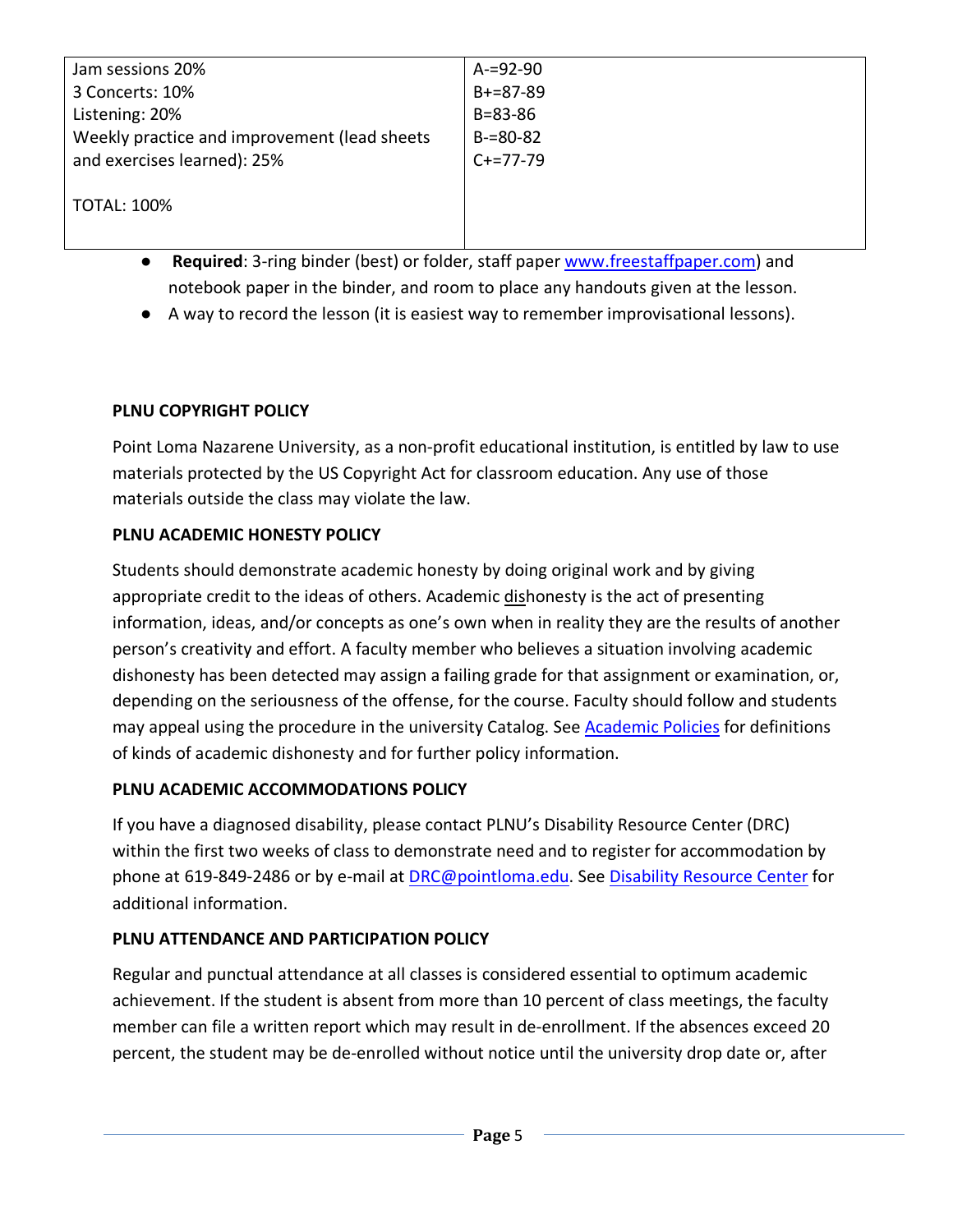| Jam sessions 20%                             | $A = 92 - 90$ |
|----------------------------------------------|---------------|
| 3 Concerts: 10%                              | $B+=87-89$    |
| Listening: 20%                               | $B = 83 - 86$ |
| Weekly practice and improvement (lead sheets | $B = 80 - 82$ |
| and exercises learned): 25%                  | $C+=77-79$    |
|                                              |               |
| <b>TOTAL: 100%</b>                           |               |
|                                              |               |
|                                              |               |

- **Required:** 3-ring binder (best) or folder, staff paper www.freestaffpaper.com) and notebook paper in the binder, and room to place any handouts given at the lesson.
- A way to record the lesson (it is easiest way to remember improvisational lessons).

## **PLNU COPYRIGHT POLICY**

Point Loma Nazarene University, as a non-profit educational institution, is entitled by law to use materials protected by the US Copyright Act for classroom education. Any use of those materials outside the class may violate the law.

# **PLNU ACADEMIC HONESTY POLICY**

Students should demonstrate academic honesty by doing original work and by giving appropriate credit to the ideas of others. Academic dishonesty is the act of presenting information, ideas, and/or concepts as one's own when in reality they are the results of another person's creativity and effort. A faculty member who believes a situation involving academic dishonesty has been detected may assign a failing grade for that assignment or examination, or, depending on the seriousness of the offense, for the course. Faculty should follow and students may appeal using the procedure in the university Catalog. See Academic Policies for definitions of kinds of academic dishonesty and for further policy information.

## **PLNU ACADEMIC ACCOMMODATIONS POLICY**

If you have a diagnosed disability, please contact PLNU's Disability Resource Center (DRC) within the first two weeks of class to demonstrate need and to register for accommodation by phone at 619-849-2486 or by e-mail at **DRC@pointloma.edu.** See Disability Resource Center for additional information.

## **PLNU ATTENDANCE AND PARTICIPATION POLICY**

Regular and punctual attendance at all classes is considered essential to optimum academic achievement. If the student is absent from more than 10 percent of class meetings, the faculty member can file a written report which may result in de-enrollment. If the absences exceed 20 percent, the student may be de-enrolled without notice until the university drop date or, after